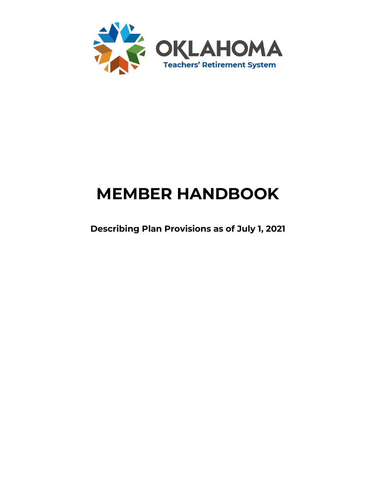

# **MEMBER HANDBOOK**

**Describing Plan Provisions as of July 1, 2021**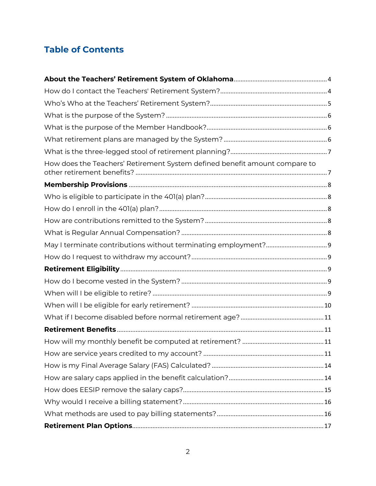# **Table of Contents**

| How does the Teachers' Retirement System defined benefit amount compare to |
|----------------------------------------------------------------------------|
|                                                                            |
|                                                                            |
|                                                                            |
|                                                                            |
|                                                                            |
|                                                                            |
|                                                                            |
|                                                                            |
|                                                                            |
|                                                                            |
|                                                                            |
|                                                                            |
|                                                                            |
|                                                                            |
|                                                                            |
|                                                                            |
|                                                                            |
|                                                                            |
|                                                                            |
|                                                                            |
|                                                                            |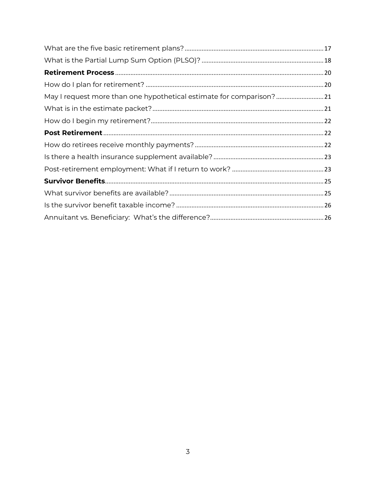| May I request more than one hypothetical estimate for comparison? |  |
|-------------------------------------------------------------------|--|
|                                                                   |  |
|                                                                   |  |
|                                                                   |  |
|                                                                   |  |
|                                                                   |  |
|                                                                   |  |
|                                                                   |  |
|                                                                   |  |
|                                                                   |  |
|                                                                   |  |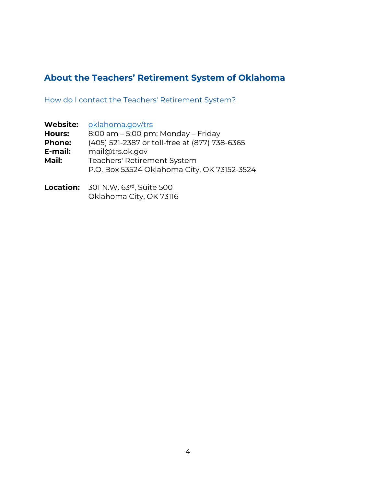## <span id="page-3-0"></span>**About the Teachers' Retirement System of Oklahoma**

<span id="page-3-1"></span>How do I contact the Teachers' Retirement System?

| oklahoma.gov/trs                              |
|-----------------------------------------------|
| 8:00 am - 5:00 pm; Monday - Friday            |
| (405) 521-2387 or toll-free at (877) 738-6365 |
| mail@trs.ok.gov                               |
| Teachers' Retirement System                   |
| P.O. Box 53524 Oklahoma City, OK 73152-3524   |
|                                               |
|                                               |

**Location:** 301 N.W. 63<sup>rd</sup>, Suite 500 Oklahoma City, OK 73116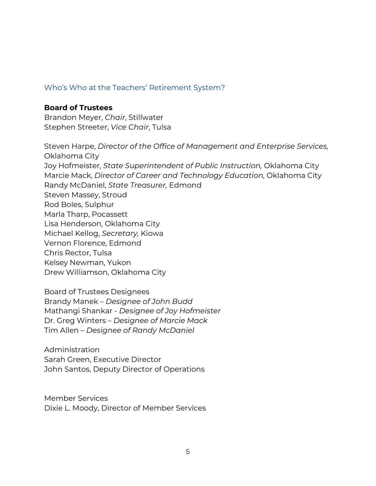### <span id="page-4-0"></span>Who's Who at the Teachers' Retirement System?

#### **Board of Trustees**

Brandon Meyer, *Chair*, Stillwater Stephen Streeter, *Vice Chair*, Tulsa

Steven Harpe, *Director of the Office of Management and Enterprise Services,*  Oklahoma City Joy Hofmeister, *State Superintendent of Public Instruction,* Oklahoma City Marcie Mack, *Director of Career and Technology Education,* Oklahoma City Randy McDaniel, *State Treasurer,* Edmond Steven Massey, Stroud Rod Boles, Sulphur Marla Tharp, Pocassett Lisa Henderson, Oklahoma City Michael Kellog, *Secretary,* Kiowa Vernon Florence, Edmond Chris Rector, Tulsa Kelsey Newman, Yukon Drew Williamson, Oklahoma City

Board of Trustees Designees Brandy Manek – *Designee of John Budd* Mathangi Shankar - *Designee of Joy Hofmeister* Dr. Greg Winters – *Designee of Marcie Mack* Tim Allen – *Designee of Randy McDaniel*

Administration Sarah Green, Executive Director John Santos, Deputy Director of Operations

Member Services Dixie L. Moody, Director of Member Services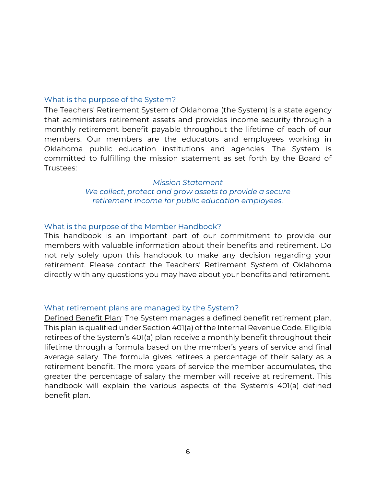#### <span id="page-5-0"></span>What is the purpose of the System?

The Teachers' Retirement System of Oklahoma (the System) is a state agency that administers retirement assets and provides income security through a monthly retirement benefit payable throughout the lifetime of each of our members. Our members are the educators and employees working in Oklahoma public education institutions and agencies. The System is committed to fulfilling the mission statement as set forth by the Board of Trustees:

> *Mission Statement We collect, protect and grow assets to provide a secure retirement income for public education employees.*

### <span id="page-5-1"></span>What is the purpose of the Member Handbook?

This handbook is an important part of our commitment to provide our members with valuable information about their benefits and retirement. Do not rely solely upon this handbook to make any decision regarding your retirement. Please contact the Teachers' Retirement System of Oklahoma directly with any questions you may have about your benefits and retirement.

#### <span id="page-5-2"></span>What retirement plans are managed by the System?

Defined Benefit Plan: The System manages a defined benefit retirement plan. This plan is qualified under Section 401(a) of the Internal Revenue Code. Eligible retirees of the System's 401(a) plan receive a monthly benefit throughout their lifetime through a formula based on the member's years of service and final average salary. The formula gives retirees a percentage of their salary as a retirement benefit. The more years of service the member accumulates, the greater the percentage of salary the member will receive at retirement. This handbook will explain the various aspects of the System's 401(a) defined benefit plan.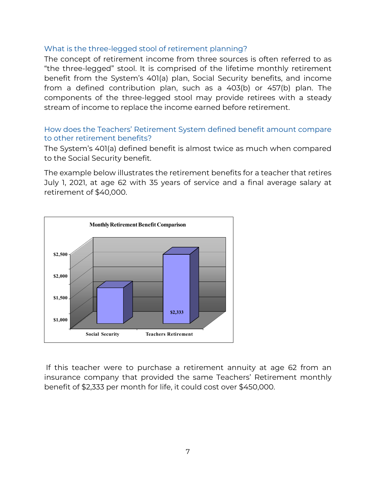### <span id="page-6-0"></span>What is the three-legged stool of retirement planning?

The concept of retirement income from three sources is often referred to as "the three-legged" stool. It is comprised of the lifetime monthly retirement benefit from the System's 401(a) plan, Social Security benefits, and income from a defined contribution plan, such as a 403(b) or 457(b) plan. The components of the three-legged stool may provide retirees with a steady stream of income to replace the income earned before retirement.

### <span id="page-6-1"></span>How does the Teachers' Retirement System defined benefit amount compare to other retirement benefits?

The System's 401(a) defined benefit is almost twice as much when compared to the Social Security benefit.

The example below illustrates the retirement benefits for a teacher that retires July 1, 2021, at age 62 with 35 years of service and a final average salary at retirement of \$40,000.



If this teacher were to purchase a retirement annuity at age 62 from an insurance company that provided the same Teachers' Retirement monthly benefit of \$2,333 per month for life, it could cost over \$450,000.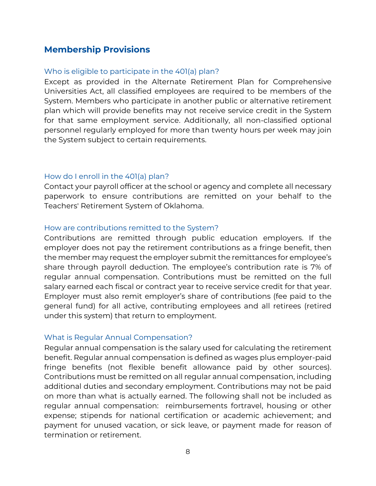### <span id="page-7-1"></span><span id="page-7-0"></span>**Membership Provisions**

### Who is eligible to participate in the 401(a) plan?

Except as provided in the Alternate Retirement Plan for Comprehensive Universities Act, all classified employees are required to be members of the System. Members who participate in another public or alternative retirement plan which will provide benefits may not receive service credit in the System for that same employment service. Additionally, all non-classified optional personnel regularly employed for more than twenty hours per week may join the System subject to certain requirements.

### <span id="page-7-2"></span>How do I enroll in the 401(a) plan?

Contact your payroll officer at the school or agency and complete all necessary paperwork to ensure contributions are remitted on your behalf to the Teachers' Retirement System of Oklahoma.

### <span id="page-7-3"></span>How are contributions remitted to the System?

Contributions are remitted through public education employers. If the employer does not pay the retirement contributions as a fringe benefit, then the member may request the employer submit the remittances for employee's share through payroll deduction. The employee's contribution rate is 7% of regular annual compensation. Contributions must be remitted on the full salary earned each fiscal or contract year to receive service credit for that year. Employer must also remit employer's share of contributions (fee paid to the general fund) for all active, contributing employees and all retirees (retired under this system) that return to employment.

#### <span id="page-7-4"></span>What is Regular Annual Compensation?

Regular annual compensation is the salary used for calculating the retirement benefit. Regular annual compensation is defined as wages plus employer-paid fringe benefits (not flexible benefit allowance paid by other sources). Contributions must be remitted on all regular annual compensation, including additional duties and secondary employment. Contributions may not be paid on more than what is actually earned. The following shall not be included as regular annual compensation: reimbursements fortravel, housing or other expense; stipends for national certification or academic achievement; and payment for unused vacation, or sick leave, or payment made for reason of termination or retirement.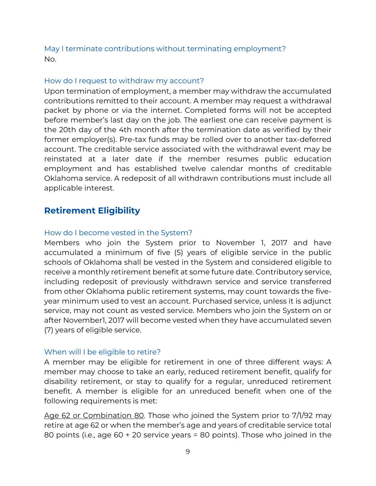<span id="page-8-0"></span>May I terminate contributions without terminating employment? No.

### <span id="page-8-1"></span>How do I request to withdraw my account?

Upon termination of employment, a member may withdraw the accumulated contributions remitted to their account. A member may request a withdrawal packet by phone or via the internet. Completed forms will not be accepted before member's last day on the job. The earliest one can receive payment is the 20th day of the 4th month after the termination date as verified by their former employer(s). Pre-tax funds may be rolled over to another tax-deferred account. The creditable service associated with the withdrawal event may be reinstated at a later date if the member resumes public education employment and has established twelve calendar months of creditable Oklahoma service. A redeposit of all withdrawn contributions must include all applicable interest.

### <span id="page-8-3"></span><span id="page-8-2"></span>**Retirement Eligibility**

### How do I become vested in the System?

Members who join the System prior to November 1, 2017 and have accumulated a minimum of five (5) years of eligible service in the public schools of Oklahoma shall be vested in the System and considered eligible to receive a monthly retirement benefit at some future date. Contributory service, including redeposit of previously withdrawn service and service transferred from other Oklahoma public retirement systems, may count towards the fiveyear minimum used to vest an account. Purchased service, unless it is adjunct service, may not count as vested service. Members who join the System on or after November1, 2017 will become vested when they have accumulated seven (7) years of eligible service.

#### <span id="page-8-4"></span>When will I be eligible to retire?

A member may be eligible for retirement in one of three different ways: A member may choose to take an early, reduced retirement benefit, qualify for disability retirement, or stay to qualify for a regular, unreduced retirement benefit. A member is eligible for an unreduced benefit when one of the following requirements is met:

Age 62 or Combination 80. Those who joined the System prior to 7/1/92 may retire at age 62 or when the member's age and years of creditable service total 80 points (i.e., age 60 + 20 service years = 80 points). Those who joined in the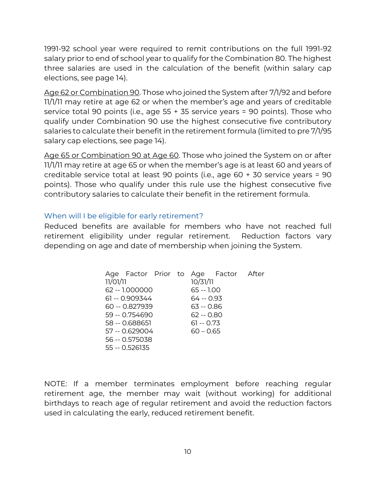1991-92 school year were required to remit contributions on the full 1991-92 salary prior to end of school year to qualify for the Combination 80. The highest three salaries are used in the calculation of the benefit (within salary cap elections, see page 14).

Age 62 or Combination 90. Those who joined the System after 7/1/92 and before 11/1/11 may retire at age 62 or when the member's age and years of creditable service total 90 points (i.e., age 55 + 35 service years = 90 points). Those who qualify under Combination 90 use the highest consecutive five contributory salaries to calculate their benefit in the retirement formula (limited to pre 7/1/95 salary cap elections, see page 14).

Age 65 or Combination 90 at Age 60. Those who joined the System on or after 11/1/11 may retire at age 65 or when the member's age is at least 60 and years of creditable service total at least 90 points (i.e., age 60 + 30 service years = 90 points). Those who qualify under this rule use the highest consecutive five contributory salaries to calculate their benefit in the retirement formula.

### <span id="page-9-0"></span>When will I be eligible for early retirement?

Reduced benefits are available for members who have not reached full retirement eligibility under regular retirement. Reduction factors vary depending on age and date of membership when joining the System.

|          |                 |  |             | Age Factor Prior to Age Factor After |  |
|----------|-----------------|--|-------------|--------------------------------------|--|
| 11/01/11 |                 |  | 10/31/11    |                                      |  |
|          | 62 -- 1.000000  |  | $65 - 1.00$ |                                      |  |
|          | $61 - 0.909344$ |  | 64 -- 0.93  |                                      |  |
|          | 60 -- 0.827939  |  | 63 -- 0.86  |                                      |  |
|          | 59 -- 0.754690  |  | $62 - 0.80$ |                                      |  |
|          | 58 -- 0.688651  |  | $61 - 0.73$ |                                      |  |
|          | 57 -- 0.629004  |  | $60 - 0.65$ |                                      |  |
|          | 56 -- 0.575038  |  |             |                                      |  |
|          | 55 -- 0.526135  |  |             |                                      |  |

NOTE: If a member terminates employment before reaching regular retirement age, the member may wait (without working) for additional birthdays to reach age of regular retirement and avoid the reduction factors used in calculating the early, reduced retirement benefit.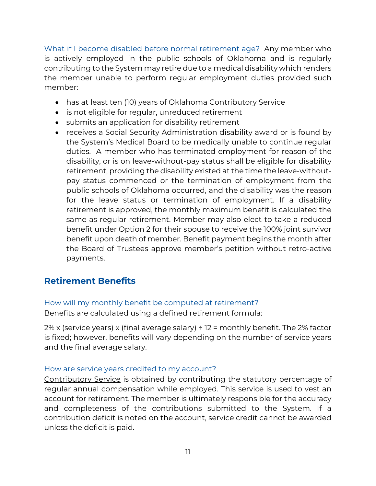<span id="page-10-0"></span>What if I become disabled before normal retirement age? Any member who is actively employed in the public schools of Oklahoma and is regularly contributing to the System may retire due to a medical disability which renders the member unable to perform regular employment duties provided such member:

- has at least ten (10) years of Oklahoma Contributory Service
- is not eligible for regular, unreduced retirement
- submits an application for disability retirement
- receives a Social Security Administration disability award or is found by the System's Medical Board to be medically unable to continue regular duties. A member who has terminated employment for reason of the disability, or is on leave-without-pay status shall be eligible for disability retirement, providing the disability existed at the time the leave-withoutpay status commenced or the termination of employment from the public schools of Oklahoma occurred, and the disability was the reason for the leave status or termination of employment. If a disability retirement is approved, the monthly maximum benefit is calculated the same as regular retirement. Member may also elect to take a reduced benefit under Option 2 for their spouse to receive the 100% joint survivor benefit upon death of member. Benefit payment begins the month after the Board of Trustees approve member's petition without retro-active payments.

### <span id="page-10-2"></span><span id="page-10-1"></span>**Retirement Benefits**

### How will my monthly benefit be computed at retirement?

Benefits are calculated using a defined retirement formula:

2% x (service years) x (final average salary)  $\div$  12 = monthly benefit. The 2% factor is fixed; however, benefits will vary depending on the number of service years and the final average salary.

### <span id="page-10-3"></span>How are service years credited to my account?

Contributory Service is obtained by contributing the statutory percentage of regular annual compensation while employed. This service is used to vest an account for retirement. The member is ultimately responsible for the accuracy and completeness of the contributions submitted to the System. If a contribution deficit is noted on the account, service credit cannot be awarded unless the deficit is paid.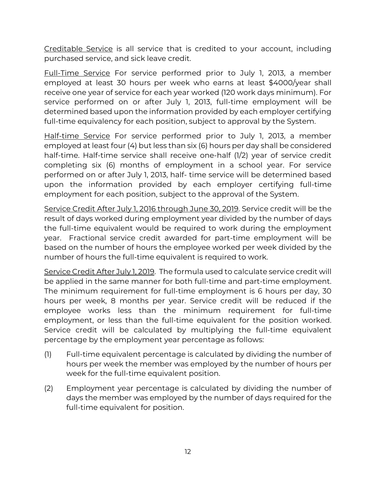Creditable Service is all service that is credited to your account, including purchased service, and sick leave credit.

Full-Time Service For service performed prior to July 1, 2013, a member employed at least 30 hours per week who earns at least \$4000/year shall receive one year of service for each year worked (120 work days minimum). For service performed on or after July 1, 2013, full-time employment will be determined based upon the information provided by each employer certifying full-time equivalency for each position, subject to approval by the System.

Half-time Service For service performed prior to July 1, 2013, a member employed at least four (4) but less than six (6) hours per day shall be considered half-time. Half-time service shall receive one-half (1/2) year of service credit completing six (6) months of employment in a school year. For service performed on or after July 1, 2013, half- time service will be determined based upon the information provided by each employer certifying full-time employment for each position, subject to the approval of the System.

Service Credit After July 1, 2016 through June 30, 2019. Service credit will be the result of days worked during employment year divided by the number of days the full-time equivalent would be required to work during the employment year. Fractional service credit awarded for part-time employment will be based on the number of hours the employee worked per week divided by the number of hours the full-time equivalent is required to work.

Service Credit After July 1, 2019. The formula used to calculate service credit will be applied in the same manner for both full-time and part-time employment. The minimum requirement for full-time employment is 6 hours per day, 30 hours per week, 8 months per year. Service credit will be reduced if the employee works less than the minimum requirement for full-time employment, or less than the full-time equivalent for the position worked. Service credit will be calculated by multiplying the full-time equivalent percentage by the employment year percentage as follows:

- (1) Full-time equivalent percentage is calculated by dividing the number of hours per week the member was employed by the number of hours per week for the full-time equivalent position.
- (2) Employment year percentage is calculated by dividing the number of days the member was employed by the number of days required for the full-time equivalent for position.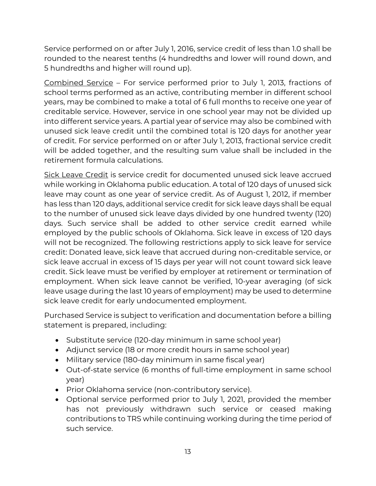Service performed on or after July 1, 2016, service credit of less than 1.0 shall be rounded to the nearest tenths (4 hundredths and lower will round down, and 5 hundredths and higher will round up).

Combined Service – For service performed prior to July 1, 2013, fractions of school terms performed as an active, contributing member in different school years, may be combined to make a total of 6 full months to receive one year of creditable service. However, service in one school year may not be divided up into different service years. A partial year of service may also be combined with unused sick leave credit until the combined total is 120 days for another year of credit. For service performed on or after July 1, 2013, fractional service credit will be added together, and the resulting sum value shall be included in the retirement formula calculations.

Sick Leave Credit is service credit for documented unused sick leave accrued while working in Oklahoma public education. A total of 120 days of unused sick leave may count as one year of service credit. As of August 1, 2012, if member has less than 120 days, additional service credit for sick leave days shall be equal to the number of unused sick leave days divided by one hundred twenty (120) days. Such service shall be added to other service credit earned while employed by the public schools of Oklahoma. Sick leave in excess of 120 days will not be recognized. The following restrictions apply to sick leave for service credit: Donated leave, sick leave that accrued during non-creditable service, or sick leave accrual in excess of 15 days per year will not count toward sick leave credit. Sick leave must be verified by employer at retirement or termination of employment. When sick leave cannot be verified, 10-year averaging (of sick leave usage during the last 10 years of employment) may be used to determine sick leave credit for early undocumented employment.

Purchased Service is subject to verification and documentation before a billing statement is prepared, including:

- Substitute service (120-day minimum in same school year)
- Adjunct service (18 or more credit hours in same school year)
- Military service (180-day minimum in same fiscal year)
- Out-of-state service (6 months of full-time employment in same school year)
- Prior Oklahoma service (non-contributory service).
- Optional service performed prior to July 1, 2021, provided the member has not previously withdrawn such service or ceased making contributions to TRS while continuing working during the time period of such service.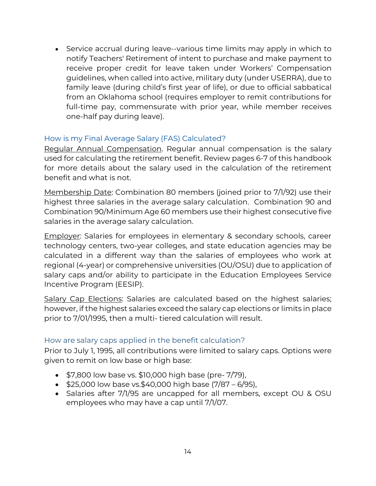• Service accrual during leave--various time limits may apply in which to notify Teachers' Retirement of intent to purchase and make payment to receive proper credit for leave taken under Workers' Compensation guidelines, when called into active, military duty (under USERRA), due to family leave (during child's first year of life), or due to official sabbatical from an Oklahoma school (requires employer to remit contributions for full-time pay, commensurate with prior year, while member receives one-half pay during leave).

### <span id="page-13-0"></span>How is my Final Average Salary (FAS) Calculated?

Regular Annual Compensation. Regular annual compensation is the salary used for calculating the retirement benefit. Review pages 6-7 of this handbook for more details about the salary used in the calculation of the retirement benefit and what is not.

Membership Date: Combination 80 members (joined prior to 7/1/92) use their highest three salaries in the average salary calculation. Combination 90 and Combination 90/Minimum Age 60 members use their highest consecutive five salaries in the average salary calculation.

Employer: Salaries for employees in elementary & secondary schools, career technology centers, two-year colleges, and state education agencies may be calculated in a different way than the salaries of employees who work at regional (4-year) or comprehensive universities (OU/OSU) due to application of salary caps and/or ability to participate in the Education Employees Service Incentive Program (EESIP).

Salary Cap Elections: Salaries are calculated based on the highest salaries; however, if the highest salaries exceed the salary cap elections or limits in place prior to 7/01/1995, then a multi- tiered calculation will result.

### <span id="page-13-1"></span>How are salary caps applied in the benefit calculation?

Prior to July 1, 1995, all contributions were limited to salary caps. Options were given to remit on low base or high base:

- \$7,800 low base vs. \$10,000 high base (pre- 7/79),
- \$25,000 low base vs.\$40,000 high base  $(7/87 6/95)$ ,
- Salaries after 7/1/95 are uncapped for all members, except OU & OSU employees who may have a cap until 7/1/07.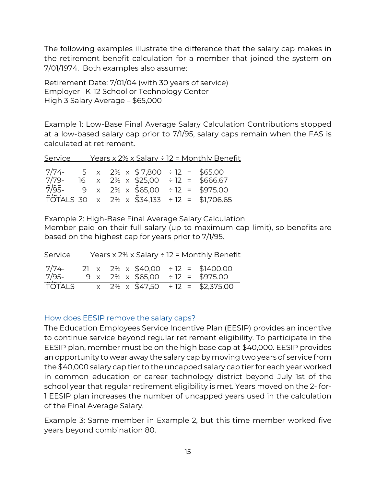The following examples illustrate the difference that the salary cap makes in the retirement benefit calculation for a member that joined the system on 7/01/1974. Both examples also assume:

Retirement Date: 7/01/04 (with 30 years of service) Employer –K-12 School or Technology Center High 3 Salary Average – \$65,000

Example 1: Low-Base Final Average Salary Calculation Contributions stopped at a low-based salary cap prior to 7/1/95, salary caps remain when the FAS is calculated at retirement.

| Service |  |                                          | <u> Years x 2% x Salary ÷ 12 = Monthly Benefit</u>        |
|---------|--|------------------------------------------|-----------------------------------------------------------|
| $7/79-$ |  | $7/74$ - 5 x 2% x \$7,800 ÷ 12 = \$65.00 | 16 $\times$ 2% $\times$ \$25,00 ÷ 12 = \$666.67           |
| 7/95-   |  |                                          | 9 x 2% x $\overline{$}65,00 \div 12 = $975.00$            |
|         |  |                                          | $\overline{101}$ ALS 30 x 2% x \$34,133 ÷ 12 = \$1,706.65 |

 $\overline{1}$  Example 2: High-Base Final Average Salary Calculation Member paid on their full salary (up to maximum cap limit), so benefits are based on the highest cap for years prior to 7/1/95.

| Service          |  |  | Years x 2% x Salary ÷ 12 = Monthly Benefit                                |
|------------------|--|--|---------------------------------------------------------------------------|
| $7/74-$<br>7/95- |  |  | 21 x 2% x $$40,00 \div 12 = $1400.00$<br>9 x 2% x \$65,00 ÷ 12 = \$975.00 |
| TÓTALS           |  |  | $x$ 2% $x$ \$47,50 ÷ 12 = \$2,375.00                                      |

0

### <span id="page-14-0"></span>How does EESIP remove the salary caps?

 $\overline{\phantom{a}}$ 

The Education Employees Service Incentive Plan (EESIP) provides an incentive to continue service beyond regular retirement eligibility. To participate in the EESIP plan, member must be on the high base cap at \$40,000. EESIP provides an opportunity to wear away the salary cap by moving two years of service from the \$40,000 salary cap tier to the uncapped salary cap tier for each year worked in common education or career technology district beyond July 1st of the school year that regular retirement eligibility is met. Years moved on the 2- for-1 EESIP plan increases the number of uncapped years used in the calculation of the Final Average Salary.

Example 3: Same member in Example 2, but this time member worked five years beyond combination 80.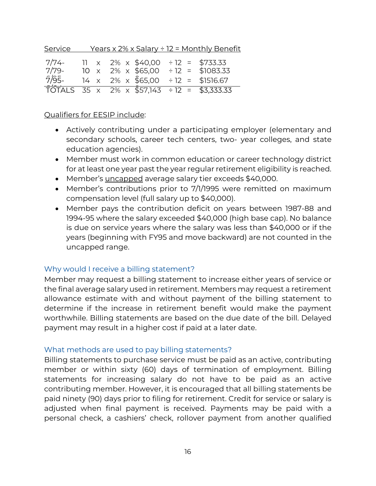| Service            |  |                                                 | <u> Years x 2% x Salary ÷ 12 = Monthly Benefit</u> |
|--------------------|--|-------------------------------------------------|----------------------------------------------------|
| $7/74-$<br>$7/79-$ |  | 11 $\times$ 2% $\times$ \$40,00 ÷ 12 = \$733.33 | 10 x 2% x \$65,00 ÷ 12 = \$1083.33                 |
| 7/95-              |  |                                                 | $14 \times 2\% \times \$65,00 \div 12 = \$1516.67$ |
|                    |  |                                                 | TOTALS 35 x 2% x \$57,143 ÷ 12 = \$3,333.33        |

### Qualifiers for EESIP include:

- Actively contributing under a participating employer (elementary and secondary schools, career tech centers, two- year colleges, and state education agencies).
- Member must work in common education or career technology district for at least one year past the year regular retirement eligibility is reached.
- Member's uncapped average salary tier exceeds \$40,000.
- Member's contributions prior to 7/1/1995 were remitted on maximum compensation level (full salary up to \$40,000).
- Member pays the contribution deficit on years between 1987-88 and 1994-95 where the salary exceeded \$40,000 (high base cap). No balance is due on service years where the salary was less than \$40,000 or if the years (beginning with FY95 and move backward) are not counted in the uncapped range.

#### <span id="page-15-0"></span>Why would I receive a billing statement?

Member may request a billing statement to increase either years of service or the final average salary used in retirement. Members may request a retirement allowance estimate with and without payment of the billing statement to determine if the increase in retirement benefit would make the payment worthwhile. Billing statements are based on the due date of the bill. Delayed payment may result in a higher cost if paid at a later date.

#### <span id="page-15-1"></span>What methods are used to pay billing statements?

Billing statements to purchase service must be paid as an active, contributing member or within sixty (60) days of termination of employment. Billing statements for increasing salary do not have to be paid as an active contributing member. However, it is encouraged that all billing statements be paid ninety (90) days prior to filing for retirement. Credit for service or salary is adjusted when final payment is received. Payments may be paid with a personal check, a cashiers' check, rollover payment from another qualified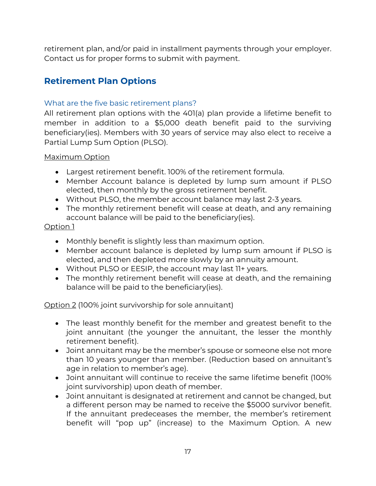retirement plan, and/or paid in installment payments through your employer. Contact us for proper forms to submit with payment.

### <span id="page-16-0"></span>**Retirement Plan Options**

### <span id="page-16-1"></span>What are the five basic retirement plans?

All retirement plan options with the 401(a) plan provide a lifetime benefit to member in addition to a \$5,000 death benefit paid to the surviving beneficiary(ies). Members with 30 years of service may also elect to receive a Partial Lump Sum Option (PLSO).

### Maximum Option

- Largest retirement benefit. 100% of the retirement formula.
- Member Account balance is depleted by lump sum amount if PLSO elected, then monthly by the gross retirement benefit.
- Without PLSO, the member account balance may last 2-3 years.
- The monthly retirement benefit will cease at death, and any remaining account balance will be paid to the beneficiary(ies).

### Option 1

- Monthly benefit is slightly less than maximum option.
- Member account balance is depleted by lump sum amount if PLSO is elected, and then depleted more slowly by an annuity amount.
- Without PLSO or EESIP, the account may last 11+ years.
- The monthly retirement benefit will cease at death, and the remaining balance will be paid to the beneficiary(ies).

Option 2 (100% joint survivorship for sole annuitant)

- The least monthly benefit for the member and greatest benefit to the joint annuitant (the younger the annuitant, the lesser the monthly retirement benefit).
- Joint annuitant may be the member's spouse or someone else not more than 10 years younger than member. (Reduction based on annuitant's age in relation to member's age).
- Joint annuitant will continue to receive the same lifetime benefit (100% joint survivorship) upon death of member.
- Joint annuitant is designated at retirement and cannot be changed, but a different person may be named to receive the \$5000 survivor benefit. If the annuitant predeceases the member, the member's retirement benefit will "pop up" (increase) to the Maximum Option. A new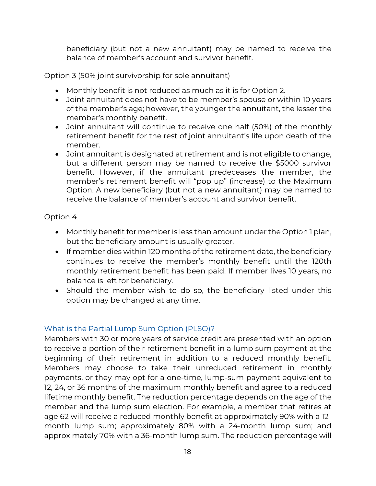beneficiary (but not a new annuitant) may be named to receive the balance of member's account and survivor benefit.

### Option 3 (50% joint survivorship for sole annuitant)

- Monthly benefit is not reduced as much as it is for Option 2.
- Joint annuitant does not have to be member's spouse or within 10 years of the member's age; however, the younger the annuitant, the lesser the member's monthly benefit.
- Joint annuitant will continue to receive one half (50%) of the monthly retirement benefit for the rest of joint annuitant's life upon death of the member.
- Joint annuitant is designated at retirement and is not eligible to change, but a different person may be named to receive the \$5000 survivor benefit. However, if the annuitant predeceases the member, the member's retirement benefit will "pop up" (increase) to the Maximum Option. A new beneficiary (but not a new annuitant) may be named to receive the balance of member's account and survivor benefit.

### Option 4

- Monthly benefit for member is less than amount under the Option 1 plan, but the beneficiary amount is usually greater.
- If member dies within 120 months of the retirement date, the beneficiary continues to receive the member's monthly benefit until the 120th monthly retirement benefit has been paid. If member lives 10 years, no balance is left for beneficiary.
- Should the member wish to do so, the beneficiary listed under this option may be changed at any time.

### <span id="page-17-0"></span>What is the Partial Lump Sum Option (PLSO)?

Members with 30 or more years of service credit are presented with an option to receive a portion of their retirement benefit in a lump sum payment at the beginning of their retirement in addition to a reduced monthly benefit. Members may choose to take their unreduced retirement in monthly payments, or they may opt for a one-time, lump-sum payment equivalent to 12, 24, or 36 months of the maximum monthly benefit and agree to a reduced lifetime monthly benefit. The reduction percentage depends on the age of the member and the lump sum election. For example, a member that retires at age 62 will receive a reduced monthly benefit at approximately 90% with a 12 month lump sum; approximately 80% with a 24-month lump sum; and approximately 70% with a 36-month lump sum. The reduction percentage will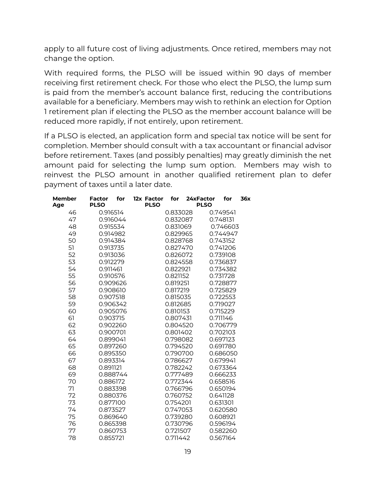apply to all future cost of living adjustments. Once retired, members may not change the option.

With required forms, the PLSO will be issued within 90 days of member receiving first retirement check. For those who elect the PLSO, the lump sum is paid from the member's account balance first, reducing the contributions available for a beneficiary. Members may wish to rethink an election for Option 1 retirement plan if electing the PLSO as the member account balance will be reduced more rapidly, if not entirely, upon retirement.

If a PLSO is elected, an application form and special tax notice will be sent for completion. Member should consult with a tax accountant or financial advisor before retirement. Taxes (and possibly penalties) may greatly diminish the net amount paid for selecting the lump sum option. Members may wish to reinvest the PLSO amount in another qualified retirement plan to defer payment of taxes until a later date.

| <b>Member</b><br>Age | <b>Factor</b><br>for<br><b>PLSO</b> | 12x Factor<br><b>PLSO</b> | for      | 24xFactor<br><b>PLSO</b> | for      | 36x |
|----------------------|-------------------------------------|---------------------------|----------|--------------------------|----------|-----|
| 46                   | 0.916514                            |                           | 0.833028 |                          | 0.749541 |     |
| 47                   | 0.916044                            |                           | 0.832087 |                          | 0.748131 |     |
| 48                   | 0.915534                            |                           | 0.831069 |                          | 0.746603 |     |
| 49                   | 0.914982                            |                           | 0.829965 |                          | 0.744947 |     |
| 50                   | 0.914384                            |                           | 0.828768 |                          | 0.743152 |     |
| 51                   | 0.913735                            |                           | 0.827470 |                          | 0.741206 |     |
| 52                   | 0.913036                            |                           | 0.826072 |                          | 0.739108 |     |
| 53                   | 0.912279                            |                           | 0.824558 |                          | 0.736837 |     |
| 54                   | 0.911461                            |                           | 0.822921 |                          | 0.734382 |     |
| 55                   | 0.910576                            |                           | 0.821152 |                          | 0.731728 |     |
| 56                   | 0.909626                            |                           | 0.819251 |                          | 0.728877 |     |
| 57                   | 0.908610                            |                           | 0.817219 |                          | 0.725829 |     |
| 58                   | 0.907518                            |                           | 0.815035 |                          | 0.722553 |     |
| 59                   | 0.906342                            |                           | 0.812685 |                          | 0.719027 |     |
| 60                   | 0.905076                            |                           | 0.810153 |                          | 0.715229 |     |
| 61                   | 0.903715                            |                           | 0.807431 |                          | 0.711146 |     |
| 62                   | 0.902260                            |                           | 0.804520 |                          | 0.706779 |     |
| 63                   | 0.900701                            |                           | 0.801402 |                          | 0.702103 |     |
| 64                   | 0.899041                            |                           | 0.798082 |                          | 0.697123 |     |
| 65                   | 0.897260                            |                           | 0.794520 |                          | 0.691780 |     |
| 66                   | 0.895350                            |                           | 0.790700 |                          | 0.686050 |     |
| 67                   | 0.893314                            |                           | 0.786627 |                          | 0.679941 |     |
| 68                   | 0.891121                            |                           | 0.782242 |                          | 0.673364 |     |
| 69                   | 0.888744                            |                           | 0.777489 |                          | 0.666233 |     |
| 70                   | 0.886172                            |                           | 0.772344 |                          | 0.658516 |     |
| 71                   | 0.883398                            |                           | 0.766796 |                          | 0.650194 |     |
| 72                   | 0.880376                            |                           | 0.760752 |                          | 0.641128 |     |
| 73                   | 0.877100                            |                           | 0.754201 |                          | 0.631301 |     |
| 74                   | 0.873527                            |                           | 0.747053 |                          | 0.620580 |     |
| 75                   | 0.869640                            |                           | 0.739280 |                          | 0.608921 |     |
| 76                   | 0.865398                            |                           | 0.730796 |                          | 0.596194 |     |
| 77                   | 0.860753                            |                           | 0.721507 |                          | 0.582260 |     |
| 78                   | 0.855721                            |                           | 0.711442 |                          | 0.567164 |     |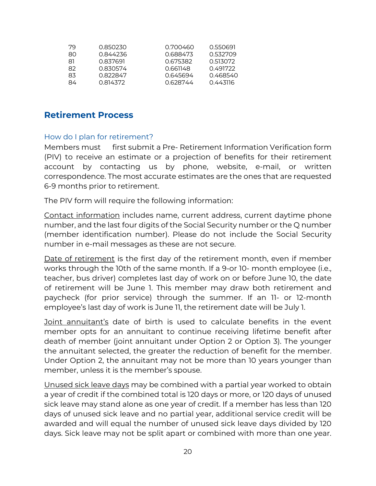| 79  | 0.850230 | 0.700460 | 0.550691 |
|-----|----------|----------|----------|
| 80. | 0.844236 | 0688473  | 0.532709 |
| 81  | 0.837691 | 0.675382 | 0.513072 |
| 82  | 0.830574 |          | 0.491722 |
| 83  | 0.822847 | 0.645694 | 0468540  |
| 84  | 0.814372 | 0.628744 | 0.443116 |

### <span id="page-19-1"></span><span id="page-19-0"></span>**Retirement Process**

### How do I plan for retirement?

Members must first submit a Pre- Retirement Information Verification form (PIV) to receive an estimate or a projection of benefits for their retirement account by contacting us by phone, website, e-mail, or written correspondence. The most accurate estimates are the ones that are requested 6-9 months prior to retirement.

The PIV form will require the following information:

Contact information includes name, current address, current daytime phone number, and the last four digits of the Social Security number or the Q number (member identification number). Please do not include the Social Security number in e-mail messages as these are not secure.

Date of retirement is the first day of the retirement month, even if member works through the 10th of the same month. If a 9-or 10- month employee (i.e., teacher, bus driver) completes last day of work on or before June 10, the date of retirement will be June 1. This member may draw both retirement and paycheck (for prior service) through the summer. If an 11- or 12-month employee's last day of work is June 11, the retirement date will be July 1.

Joint annuitant's date of birth is used to calculate benefits in the event member opts for an annuitant to continue receiving lifetime benefit after death of member (joint annuitant under Option 2 or Option 3). The younger the annuitant selected, the greater the reduction of benefit for the member. Under Option 2, the annuitant may not be more than 10 years younger than member, unless it is the member's spouse.

Unused sick leave days may be combined with a partial year worked to obtain a year of credit if the combined total is 120 days or more, or 120 days of unused sick leave may stand alone as one year of credit. If a member has less than 120 days of unused sick leave and no partial year, additional service credit will be awarded and will equal the number of unused sick leave days divided by 120 days. Sick leave may not be split apart or combined with more than one year.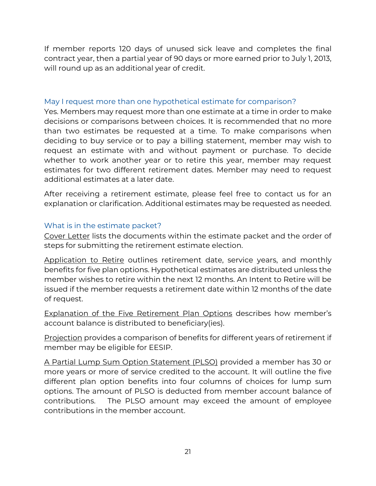If member reports 120 days of unused sick leave and completes the final contract year, then a partial year of 90 days or more earned prior to July 1, 2013, will round up as an additional year of credit.

### <span id="page-20-0"></span>May I request more than one hypothetical estimate for comparison?

Yes. Members may request more than one estimate at a time in order to make decisions or comparisons between choices. It is recommended that no more than two estimates be requested at a time. To make comparisons when deciding to buy service or to pay a billing statement, member may wish to request an estimate with and without payment or purchase. To decide whether to work another year or to retire this year, member may request estimates for two different retirement dates. Member may need to request additional estimates at a later date.

After receiving a retirement estimate, please feel free to contact us for an explanation or clarification. Additional estimates may be requested as needed.

### <span id="page-20-1"></span>What is in the estimate packet?

Cover Letter lists the documents within the estimate packet and the order of steps for submitting the retirement estimate election.

Application to Retire outlines retirement date, service years, and monthly benefits for five plan options. Hypothetical estimates are distributed unless the member wishes to retire within the next 12 months. An Intent to Retire will be issued if the member requests a retirement date within 12 months of the date of request.

Explanation of the Five Retirement Plan Options describes how member's account balance is distributed to beneficiary(ies).

Projection provides a comparison of benefits for different years of retirement if member may be eligible for EESIP.

A Partial Lump Sum Option Statement (PLSO) provided a member has 30 or more years or more of service credited to the account. It will outline the five different plan option benefits into four columns of choices for lump sum options. The amount of PLSO is deducted from member account balance of contributions. The PLSO amount may exceed the amount of employee contributions in the member account.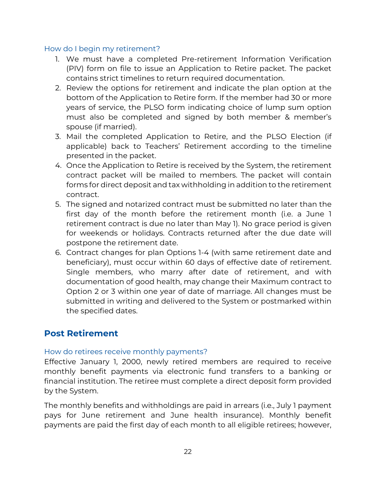### <span id="page-21-0"></span>How do I begin my retirement?

- 1. We must have a completed Pre-retirement Information Verification (PIV) form on file to issue an Application to Retire packet. The packet contains strict timelines to return required documentation.
- 2. Review the options for retirement and indicate the plan option at the bottom of the Application to Retire form. If the member had 30 or more years of service, the PLSO form indicating choice of lump sum option must also be completed and signed by both member & member's spouse (if married).
- 3. Mail the completed Application to Retire, and the PLSO Election (if applicable) back to Teachers' Retirement according to the timeline presented in the packet.
- 4. Once the Application to Retire is received by the System, the retirement contract packet will be mailed to members. The packet will contain forms for direct deposit and tax withholding in addition to the retirement contract.
- 5. The signed and notarized contract must be submitted no later than the first day of the month before the retirement month (i.e. a June 1 retirement contract is due no later than May 1). No grace period is given for weekends or holidays. Contracts returned after the due date will postpone the retirement date.
- 6. Contract changes for plan Options 1-4 (with same retirement date and beneficiary), must occur within 60 days of effective date of retirement. Single members, who marry after date of retirement, and with documentation of good health, may change their Maximum contract to Option 2 or 3 within one year of date of marriage. All changes must be submitted in writing and delivered to the System or postmarked within the specified dates.

### <span id="page-21-1"></span>**Post Retirement**

### <span id="page-21-2"></span>How do retirees receive monthly payments?

Effective January 1, 2000, newly retired members are required to receive monthly benefit payments via electronic fund transfers to a banking or financial institution. The retiree must complete a direct deposit form provided by the System.

The monthly benefits and withholdings are paid in arrears (i.e., July 1 payment pays for June retirement and June health insurance). Monthly benefit payments are paid the first day of each month to all eligible retirees; however,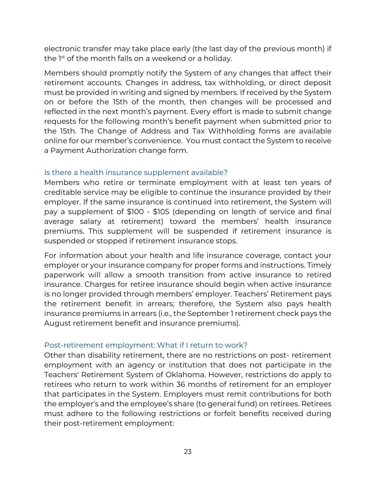electronic transfer may take place early (the last day of the previous month) if the 1<sup>st</sup> of the month falls on a weekend or a holiday.

Members should promptly notify the System of any changes that affect their retirement accounts. Changes in address, tax withholding, or direct deposit must be provided in writing and signed by members. If received by the System on or before the 15th of the month, then changes will be processed and reflected in the next month's payment. Every effort is made to submit change requests for the following month's benefit payment when submitted prior to the 15th. The Change of Address and Tax Withholding forms are available online for our member's convenience. You must contact the System to receive a Payment Authorization change form.

### <span id="page-22-0"></span>Is there a health insurance supplement available?

Members who retire or terminate employment with at least ten years of creditable service may be eligible to continue the insurance provided by their employer. If the same insurance is continued into retirement, the System will pay a supplement of \$100 - \$105 (depending on length of service and final average salary at retirement) toward the members' health insurance premiums. This supplement will be suspended if retirement insurance is suspended or stopped if retirement insurance stops.

For information about your health and life insurance coverage, contact your employer or your insurance company for proper forms and instructions. Timely paperwork will allow a smooth transition from active insurance to retired insurance. Charges for retiree insurance should begin when active insurance is no longer provided through members' employer. Teachers' Retirement pays the retirement benefit in arrears; therefore, the System also pays health insurance premiums in arrears (i.e., the September 1 retirement check pays the August retirement benefit and insurance premiums).

#### <span id="page-22-1"></span>Post-retirement employment: What if I return to work?

Other than disability retirement, there are no restrictions on post- retirement employment with an agency or institution that does not participate in the Teachers' Retirement System of Oklahoma. However, restrictions do apply to retirees who return to work within 36 months of retirement for an employer that participates in the System. Employers must remit contributions for both the employer's and the employee's share (to general fund) on retirees. Retirees must adhere to the following restrictions or forfeit benefits received during their post-retirement employment: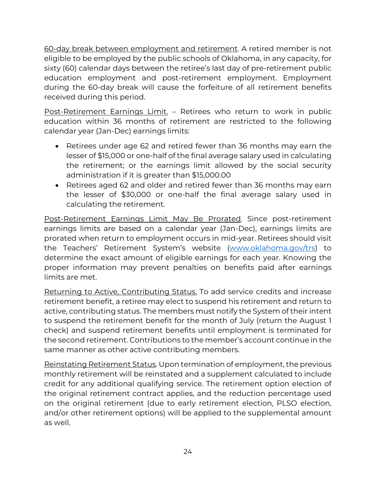60-day break between employment and retirement. A retired member is not eligible to be employed by the public schools of Oklahoma, in any capacity, for sixty (60) calendar days between the retiree's last day of pre-retirement public education employment and post-retirement employment. Employment during the 60-day break will cause the forfeiture of all retirement benefits received during this period.

Post-Retirement Earnings Limit. – Retirees who return to work in public education within 36 months of retirement are restricted to the following calendar year (Jan-Dec) earnings limits:

- Retirees under age 62 and retired fewer than 36 months may earn the lesser of \$15,000 or one-half of the final average salary used in calculating the retirement; or the earnings limit allowed by the social security administration if it is greater than \$15,000.00
- Retirees aged 62 and older and retired fewer than 36 months may earn the lesser of \$30,000 or one-half the final average salary used in calculating the retirement.

Post-Retirement Earnings Limit May Be Prorated. Since post-retirement earnings limits are based on a calendar year (Jan-Dec), earnings limits are prorated when return to employment occurs in mid-year. Retirees should visit the Teachers' Retirement System's website [\(www.oklahoma.gov/trs\)](http://www.oklahoma.gov/trs) to determine the exact amount of eligible earnings for each year. Knowing the proper information may prevent penalties on benefits paid after earnings limits are met.

Returning to Active, Contributing Status. To add service credits and increase retirement benefit, a retiree may elect to suspend his retirement and return to active, contributing status. The members must notify the System of their intent to suspend the retirement benefit for the month of July (return the August 1 check) and suspend retirement benefits until employment is terminated for the second retirement. Contributions to the member's account continue in the same manner as other active contributing members.

Reinstating Retirement Status. Upon termination of employment, the previous monthly retirement will be reinstated and a supplement calculated to include credit for any additional qualifying service. The retirement option election of the original retirement contract applies, and the reduction percentage used on the original retirement (due to early retirement election, PLSO election, and/or other retirement options) will be applied to the supplemental amount as well.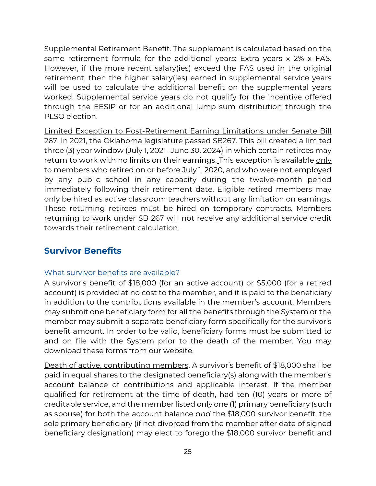Supplemental Retirement Benefit. The supplement is calculated based on the same retirement formula for the additional years: Extra years x 2% x FAS. However, if the more recent salary(ies) exceed the FAS used in the original retirement, then the higher salary(ies) earned in supplemental service years will be used to calculate the additional benefit on the supplemental years worked. Supplemental service years do not qualify for the incentive offered through the EESIP or for an additional lump sum distribution through the PLSO election.

Limited Exception to Post-Retirement Earning Limitations under Senate Bill 267. In 2021, the Oklahoma legislature passed SB267. This bill created a limited three (3) year window (July 1, 2021- June 30, 2024) in which certain retirees may return to work with no limits on their earnings. This exception is available only to members who retired on or before July 1, 2020, and who were not employed by any public school in any capacity during the twelve-month period immediately following their retirement date. Eligible retired members may only be hired as active classroom teachers without any limitation on earnings. These returning retirees must be hired on temporary contracts. Members returning to work under SB 267 will not receive any additional service credit towards their retirement calculation.

### <span id="page-24-0"></span>**Survivor Benefits**

### <span id="page-24-1"></span>What survivor benefits are available?

A survivor's benefit of \$18,000 (for an active account) or \$5,000 (for a retired account) is provided at no cost to the member, and it is paid to the beneficiary in addition to the contributions available in the member's account. Members may submit one beneficiary form for all the benefits through the System or the member may submit a separate beneficiary form specifically for the survivor's benefit amount. In order to be valid, beneficiary forms must be submitted to and on file with the System prior to the death of the member. You may download these forms from our website.

Death of active, contributing members. A survivor's benefit of \$18,000 shall be paid in equal shares to the designated beneficiary(s) along with the member's account balance of contributions and applicable interest. If the member qualified for retirement at the time of death, had ten (10) years or more of creditable service, and the member listed only one (1) primary beneficiary (such as spouse) for both the account balance *and* the \$18,000 survivor benefit, the sole primary beneficiary (if not divorced from the member after date of signed beneficiary designation) may elect to forego the \$18,000 survivor benefit and